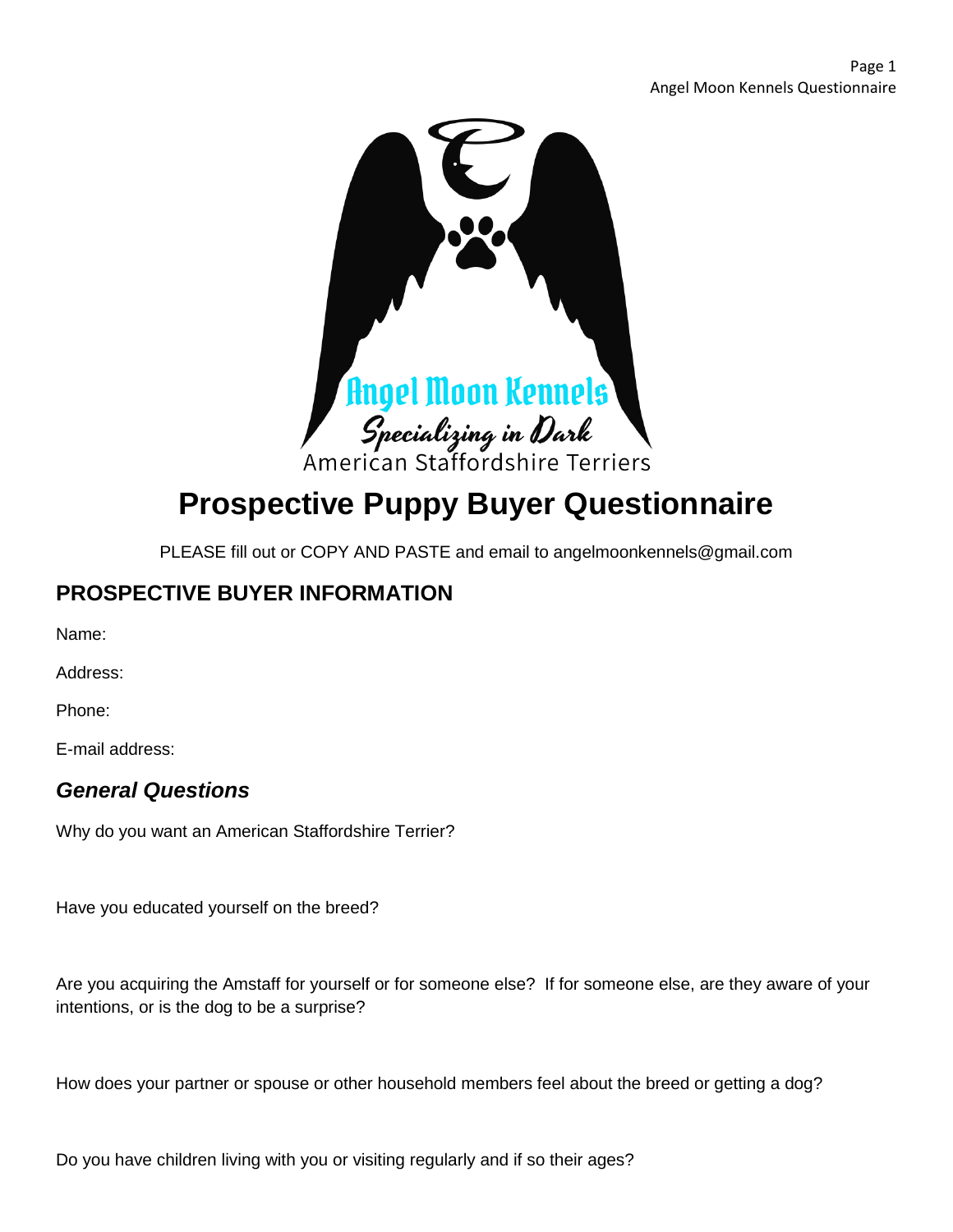

# **Prospective Puppy Buyer Questionnaire**

PLEASE fill out or COPY AND PASTE and email to angelmoonkennels@gmail.com

## **PROSPECTIVE BUYER INFORMATION**

Name:

Address:

Phone:

E-mail address:

## *General Questions*

Why do you want an American Staffordshire Terrier?

Have you educated yourself on the breed?

Are you acquiring the Amstaff for yourself or for someone else? If for someone else, are they aware of your intentions, or is the dog to be a surprise?

How does your partner or spouse or other household members feel about the breed or getting a dog?

Do you have children living with you or visiting regularly and if so their ages?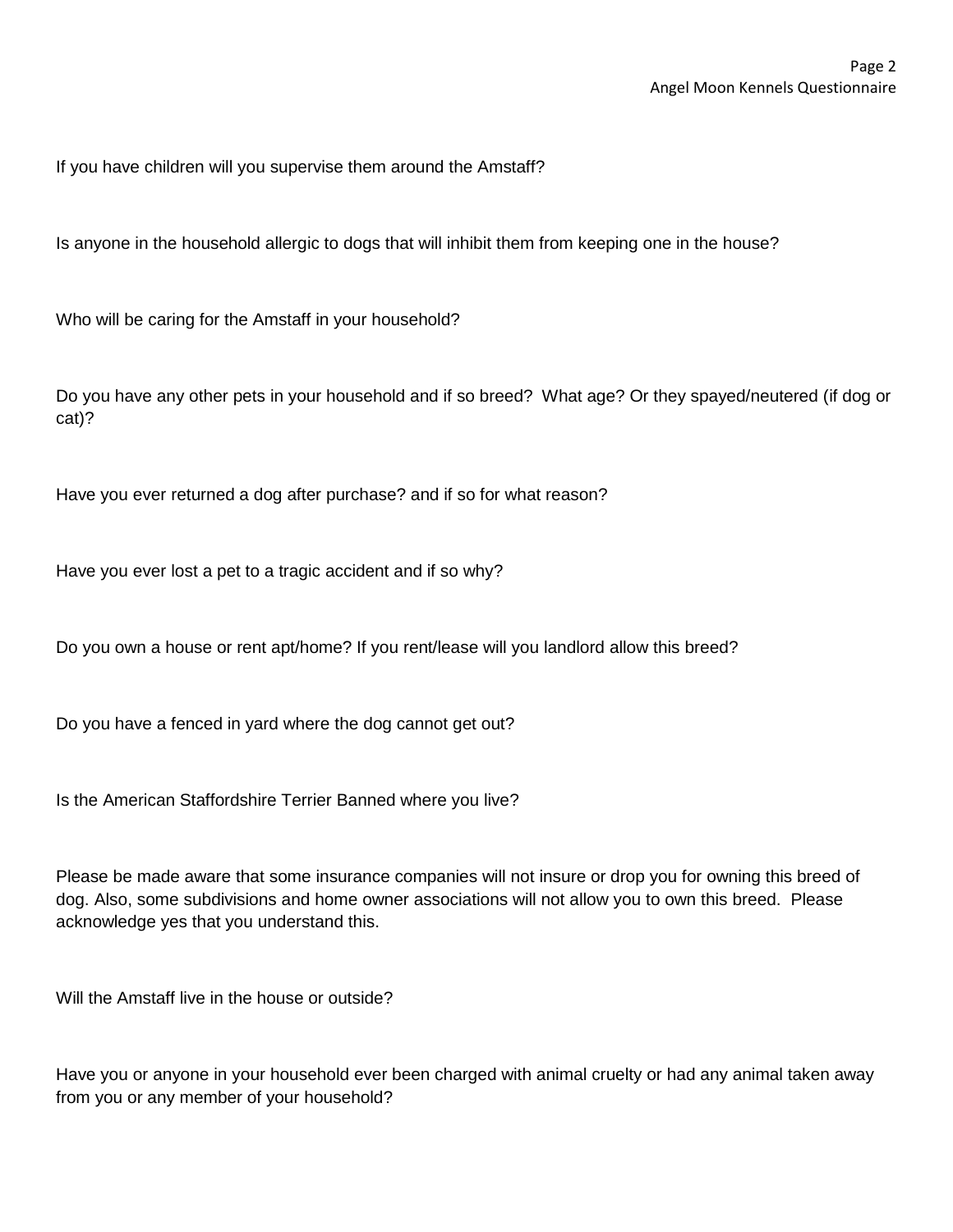If you have children will you supervise them around the Amstaff?

Is anyone in the household allergic to dogs that will inhibit them from keeping one in the house?

Who will be caring for the Amstaff in your household?

Do you have any other pets in your household and if so breed? What age? Or they spayed/neutered (if dog or cat)?

Have you ever returned a dog after purchase? and if so for what reason?

Have you ever lost a pet to a tragic accident and if so why?

Do you own a house or rent apt/home? If you rent/lease will you landlord allow this breed?

Do you have a fenced in yard where the dog cannot get out?

Is the American Staffordshire Terrier Banned where you live?

Please be made aware that some insurance companies will not insure or drop you for owning this breed of dog. Also, some subdivisions and home owner associations will not allow you to own this breed. Please acknowledge yes that you understand this.

Will the Amstaff live in the house or outside?

Have you or anyone in your household ever been charged with animal cruelty or had any animal taken away from you or any member of your household?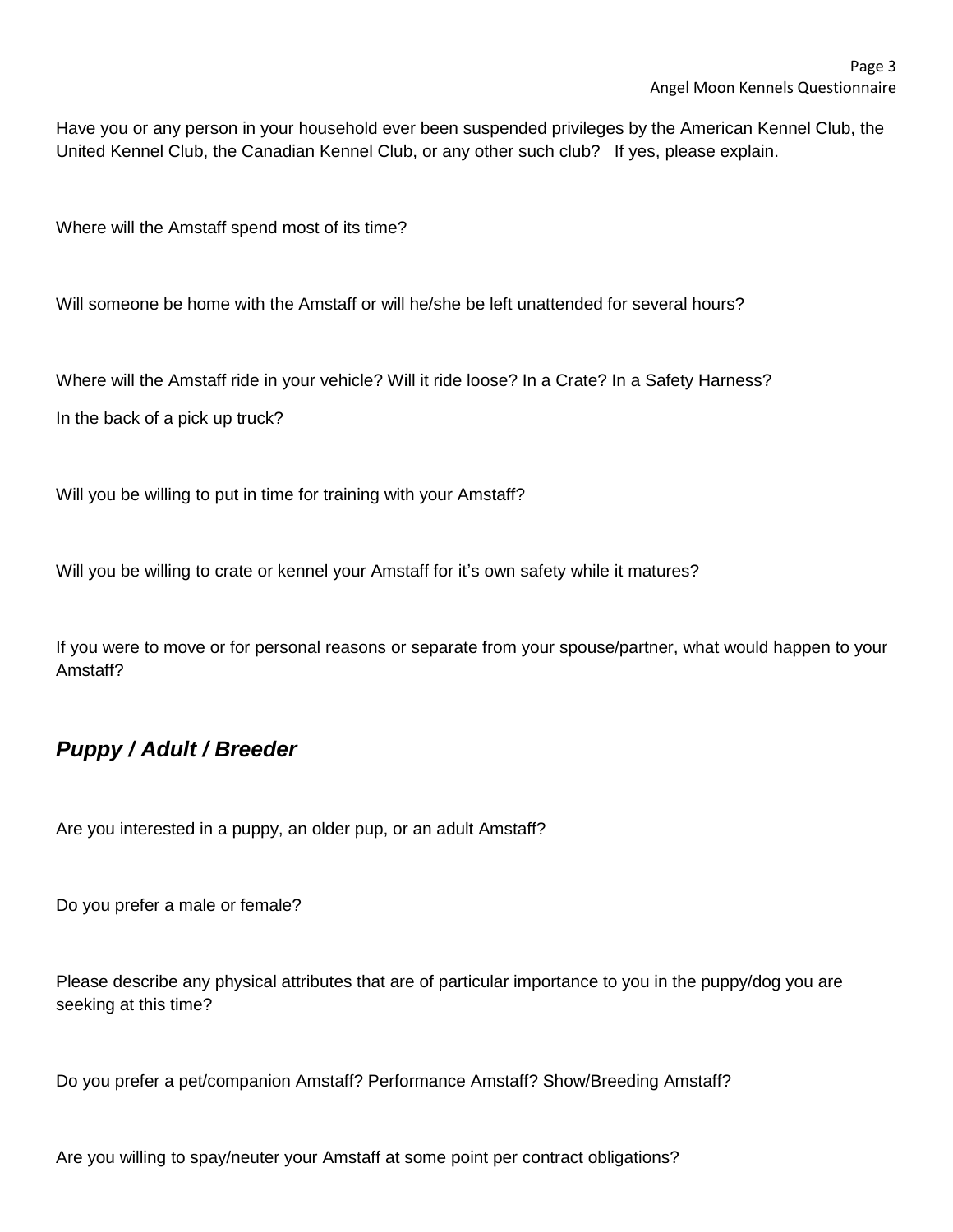Have you or any person in your household ever been suspended privileges by the American Kennel Club, the United Kennel Club, the Canadian Kennel Club, or any other such club? If yes, please explain.

Where will the Amstaff spend most of its time?

Will someone be home with the Amstaff or will he/she be left unattended for several hours?

Where will the Amstaff ride in your vehicle? Will it ride loose? In a Crate? In a Safety Harness?

In the back of a pick up truck?

Will you be willing to put in time for training with your Amstaff?

Will you be willing to crate or kennel your Amstaff for it's own safety while it matures?

If you were to move or for personal reasons or separate from your spouse/partner, what would happen to your Amstaff?

#### *Puppy / Adult / Breeder*

Are you interested in a puppy, an older pup, or an adult Amstaff?

Do you prefer a male or female?

Please describe any physical attributes that are of particular importance to you in the puppy/dog you are seeking at this time?

Do you prefer a pet/companion Amstaff? Performance Amstaff? Show/Breeding Amstaff?

Are you willing to spay/neuter your Amstaff at some point per contract obligations?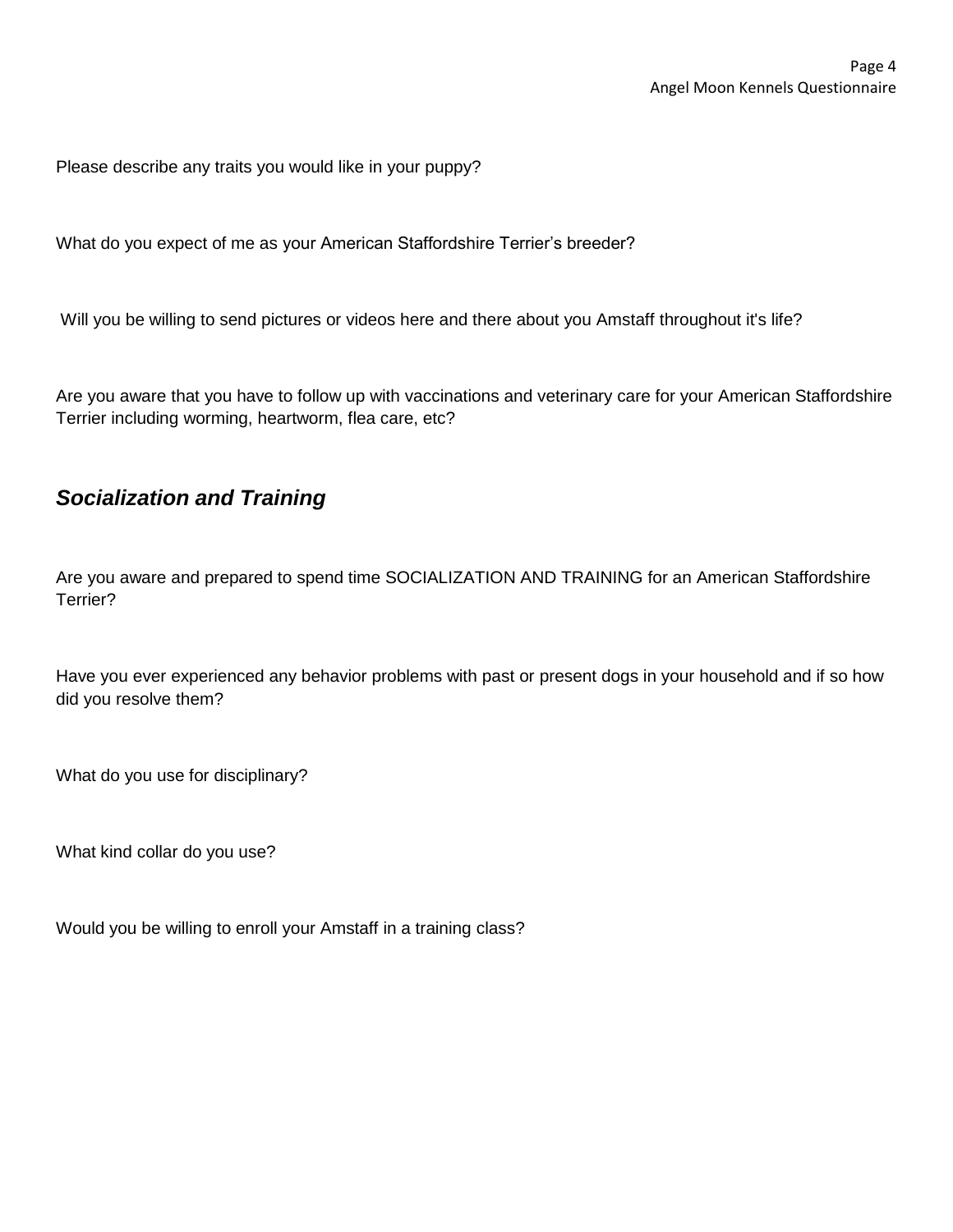Please describe any traits you would like in your puppy?

What do you expect of me as your American Staffordshire Terrier's breeder?

Will you be willing to send pictures or videos here and there about you Amstaff throughout it's life?

Are you aware that you have to follow up with vaccinations and veterinary care for your American Staffordshire Terrier including worming, heartworm, flea care, etc?

#### *Socialization and Training*

Are you aware and prepared to spend time SOCIALIZATION AND TRAINING for an American Staffordshire Terrier?

Have you ever experienced any behavior problems with past or present dogs in your household and if so how did you resolve them?

What do you use for disciplinary?

What kind collar do you use?

Would you be willing to enroll your Amstaff in a training class?